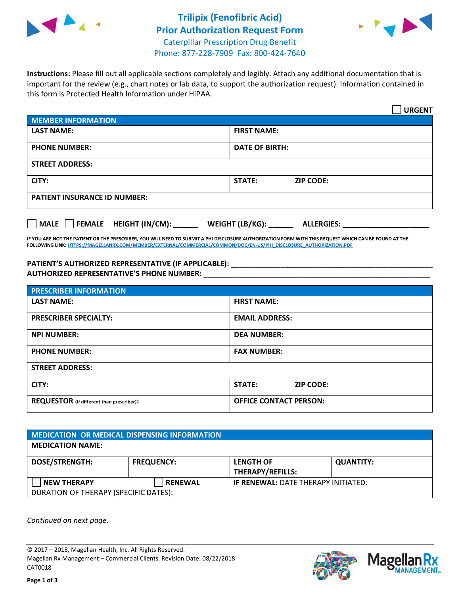



**Instructions:** Please fill out all applicable sections completely and legibly. Attach any additional documentation that is important for the review (e.g., chart notes or lab data, to support the authorization request). Information contained in this form is Protected Health Information under HIPAA.

|                                       | <b>URGENT</b>                        |  |  |  |
|---------------------------------------|--------------------------------------|--|--|--|
| <b>MEMBER INFORMATION</b>             |                                      |  |  |  |
| <b>LAST NAME:</b>                     | <b>FIRST NAME:</b>                   |  |  |  |
| <b>PHONE NUMBER:</b>                  | <b>DATE OF BIRTH:</b>                |  |  |  |
| <b>STREET ADDRESS:</b>                |                                      |  |  |  |
| CITY:                                 | STATE:<br><b>ZIP CODE:</b>           |  |  |  |
| <b>PATIENT INSURANCE ID NUMBER:</b>   |                                      |  |  |  |
| FEMALE HEIGHT (IN/CM):<br><b>MALE</b> | WEIGHT (LB/KG):<br><b>ALLERGIES:</b> |  |  |  |

**IF YOU ARE NOT THE PATIENT OR THE PRESCRIBER, YOU WILL NEED TO SUBMIT A PHI DISCLOSURE AUTHORIZATION FORM WITH THIS REQUEST WHICH CAN BE FOUND AT THE FOLLOWING LINK[: HTTPS://MAGELLANRX.COM/MEMBER/EXTERNAL/COMMERCIAL/COMMON/DOC/EN-US/PHI\\_DISCLOSURE\\_AUTHORIZATION.PDF](https://magellanrx.com/member/external/commercial/common/doc/en-us/PHI_Disclosure_Authorization.pdf)**

PATIENT'S AUTHORIZED REPRESENTATIVE (IF APPLICABLE): **\_\_\_\_\_\_\_\_\_\_\_\_\_\_\_\_\_\_\_\_ AUTHORIZED REPRESENTATIVE'S PHONE NUMBER:** \_\_\_\_\_\_\_\_\_\_\_\_\_\_\_\_\_\_\_\_\_\_\_\_\_\_\_\_\_\_\_\_\_\_\_\_\_\_\_\_\_\_\_\_\_\_\_\_\_\_\_\_\_\_\_

| <b>PRESCRIBER INFORMATION</b>             |                               |  |  |  |
|-------------------------------------------|-------------------------------|--|--|--|
| <b>LAST NAME:</b>                         | <b>FIRST NAME:</b>            |  |  |  |
| <b>PRESCRIBER SPECIALTY:</b>              | <b>EMAIL ADDRESS:</b>         |  |  |  |
| <b>NPI NUMBER:</b>                        | <b>DEA NUMBER:</b>            |  |  |  |
| <b>PHONE NUMBER:</b>                      | <b>FAX NUMBER:</b>            |  |  |  |
| <b>STREET ADDRESS:</b>                    |                               |  |  |  |
| CITY:                                     | STATE:<br><b>ZIP CODE:</b>    |  |  |  |
| REQUESTOR (if different than prescriber): | <b>OFFICE CONTACT PERSON:</b> |  |  |  |

| MEDICATION OR MEDICAL DISPENSING INFORMATION |                   |                                            |                  |  |  |
|----------------------------------------------|-------------------|--------------------------------------------|------------------|--|--|
| <b>MEDICATION NAME:</b>                      |                   |                                            |                  |  |  |
| <b>DOSE/STRENGTH:</b>                        | <b>FREQUENCY:</b> | <b>LENGTH OF</b>                           | <b>QUANTITY:</b> |  |  |
|                                              |                   | <b>THERAPY/REFILLS:</b>                    |                  |  |  |
| <b>NEW THERAPY</b>                           | <b>RENEWAL</b>    | <b>IF RENEWAL: DATE THERAPY INITIATED:</b> |                  |  |  |
| DURATION OF THERAPY (SPECIFIC DATES):        |                   |                                            |                  |  |  |

*Continued on next page.*

© 2017 – 2018, Magellan Health, Inc. All Rights Reserved. Magellan Rx Management – Commercial Clients. Revision Date: 08/22/2018 CAT0018



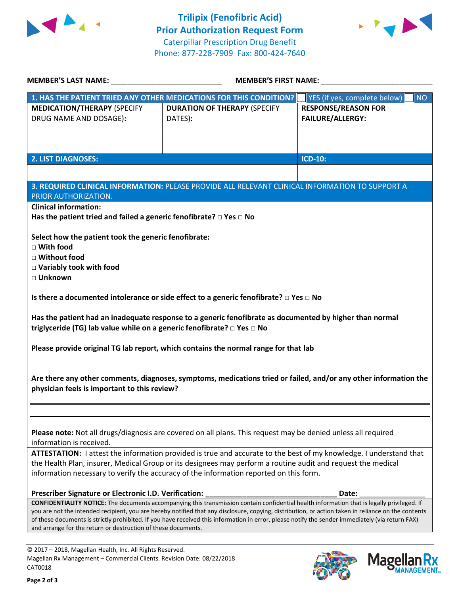



Mage

**lan Rx<br>NAGEMENT...** 

| MEMBER'S LAST NAME: NAME:                                                                                                                                                                              | <b>MEMBER'S FIRST NAME:</b>                                                                                                                        |                                           |  |  |
|--------------------------------------------------------------------------------------------------------------------------------------------------------------------------------------------------------|----------------------------------------------------------------------------------------------------------------------------------------------------|-------------------------------------------|--|--|
| 1. HAS THE PATIENT TRIED ANY OTHER MEDICATIONS FOR THIS CONDITION?                                                                                                                                     |                                                                                                                                                    | YES (if yes, complete below)<br><b>NO</b> |  |  |
| <b>MEDICATION/THERAPY (SPECIFY</b>                                                                                                                                                                     | <b>DURATION OF THERAPY (SPECIFY</b>                                                                                                                | <b>RESPONSE/REASON FOR</b>                |  |  |
| DRUG NAME AND DOSAGE):                                                                                                                                                                                 | DATES):                                                                                                                                            | <b>FAILURE/ALLERGY:</b>                   |  |  |
|                                                                                                                                                                                                        |                                                                                                                                                    |                                           |  |  |
|                                                                                                                                                                                                        |                                                                                                                                                    |                                           |  |  |
|                                                                                                                                                                                                        |                                                                                                                                                    |                                           |  |  |
| <b>2. LIST DIAGNOSES:</b>                                                                                                                                                                              |                                                                                                                                                    | ICD-10:                                   |  |  |
|                                                                                                                                                                                                        |                                                                                                                                                    |                                           |  |  |
|                                                                                                                                                                                                        | 3. REQUIRED CLINICAL INFORMATION: PLEASE PROVIDE ALL RELEVANT CLINICAL INFORMATION TO SUPPORT A                                                    |                                           |  |  |
| PRIOR AUTHORIZATION.                                                                                                                                                                                   |                                                                                                                                                    |                                           |  |  |
| <b>Clinical information:</b>                                                                                                                                                                           |                                                                                                                                                    |                                           |  |  |
| Has the patient tried and failed a generic fenofibrate? $\Box$ Yes $\Box$ No                                                                                                                           |                                                                                                                                                    |                                           |  |  |
|                                                                                                                                                                                                        |                                                                                                                                                    |                                           |  |  |
| Select how the patient took the generic fenofibrate:                                                                                                                                                   |                                                                                                                                                    |                                           |  |  |
| $\Box$ With food                                                                                                                                                                                       |                                                                                                                                                    |                                           |  |  |
| □ Without food                                                                                                                                                                                         |                                                                                                                                                    |                                           |  |  |
| $\Box$ Variably took with food                                                                                                                                                                         |                                                                                                                                                    |                                           |  |  |
| □ Unknown                                                                                                                                                                                              |                                                                                                                                                    |                                           |  |  |
|                                                                                                                                                                                                        |                                                                                                                                                    |                                           |  |  |
| Is there a documented intolerance or side effect to a generic fenofibrate? $\Box$ Yes $\Box$ No                                                                                                        |                                                                                                                                                    |                                           |  |  |
| Has the patient had an inadequate response to a generic fenofibrate as documented by higher than normal<br>triglyceride (TG) lab value while on a generic fenofibrate? □ Yes □ No                      |                                                                                                                                                    |                                           |  |  |
| Please provide original TG lab report, which contains the normal range for that lab                                                                                                                    |                                                                                                                                                    |                                           |  |  |
|                                                                                                                                                                                                        |                                                                                                                                                    |                                           |  |  |
| Are there any other comments, diagnoses, symptoms, medications tried or failed, and/or any other information the<br>physician feels is important to this review?                                       |                                                                                                                                                    |                                           |  |  |
|                                                                                                                                                                                                        |                                                                                                                                                    |                                           |  |  |
|                                                                                                                                                                                                        |                                                                                                                                                    |                                           |  |  |
|                                                                                                                                                                                                        |                                                                                                                                                    |                                           |  |  |
| Please note: Not all drugs/diagnosis are covered on all plans. This request may be denied unless all required                                                                                          |                                                                                                                                                    |                                           |  |  |
| information is received.                                                                                                                                                                               |                                                                                                                                                    |                                           |  |  |
| ATTESTATION: I attest the information provided is true and accurate to the best of my knowledge. I understand that                                                                                     |                                                                                                                                                    |                                           |  |  |
| the Health Plan, insurer, Medical Group or its designees may perform a routine audit and request the medical<br>information necessary to verify the accuracy of the information reported on this form. |                                                                                                                                                    |                                           |  |  |
|                                                                                                                                                                                                        |                                                                                                                                                    |                                           |  |  |
| Prescriber Signature or Electronic I.D. Verification:                                                                                                                                                  |                                                                                                                                                    | Date:                                     |  |  |
|                                                                                                                                                                                                        | <b>CONFIDENTIALITY NOTICE:</b> The documents accompanying this transmission contain confidential health information that is legally privileged. If |                                           |  |  |
| you are not the intended recipient, you are hereby notified that any disclosure, copying, distribution, or action taken in reliance on the contents                                                    |                                                                                                                                                    |                                           |  |  |
| of these documents is strictly prohibited. If you have received this information in error, please notify the sender immediately (via return FAX)                                                       |                                                                                                                                                    |                                           |  |  |
| and arrange for the return or destruction of these documents.                                                                                                                                          |                                                                                                                                                    |                                           |  |  |
|                                                                                                                                                                                                        |                                                                                                                                                    |                                           |  |  |
| © 2017 - 2018, Magellan Health, Inc. All Rights Reserved.                                                                                                                                              |                                                                                                                                                    |                                           |  |  |

CAT0018

Magellan Rx Management – Commercial Clients. Revision Date: 08/22/2018